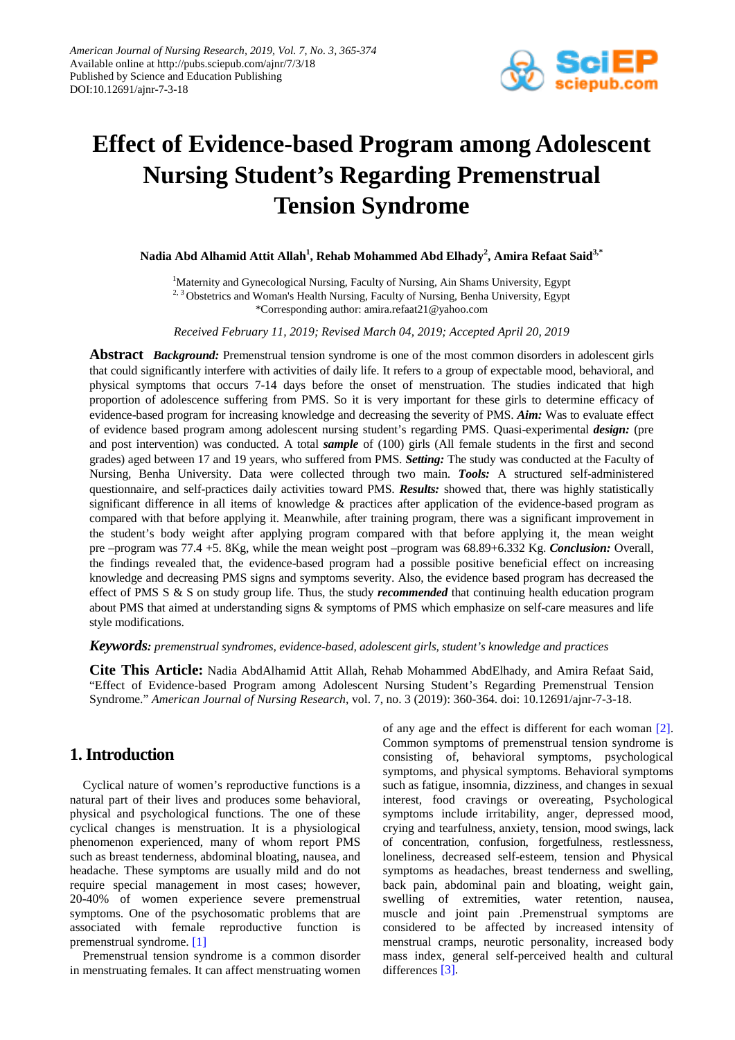

# **Effect of Evidence-based Program among Adolescent Nursing Student's Regarding Premenstrual Tension Syndrome**

**Nadia Abd Alhamid Attit Allah1 , Rehab Mohammed Abd Elhady<sup>2</sup> , Amira Refaat Said3,\***

<sup>1</sup>Maternity and Gynecological Nursing, Faculty of Nursing, Ain Shams University, Egypt <sup>2, 3</sup> Obstetrics and Woman's Health Nursing, Faculty of Nursing, Benha University, Egypt \*Corresponding author: amira.refaat21@yahoo.com

*Received February 11, 2019; Revised March 04, 2019; Accepted April 20, 2019*

**Abstract** *Background:* Premenstrual tension syndrome is one of the most common disorders in adolescent girls that could significantly interfere with activities of daily life. It refers to a group of expectable mood, behavioral, and physical symptoms that occurs 7-14 days before the onset of menstruation. The studies indicated that high proportion of adolescence suffering from PMS. So it is very important for these girls to determine efficacy of evidence-based program for increasing knowledge and decreasing the severity of PMS. *Aim:* Was to evaluate effect of evidence based program among adolescent nursing student's regarding PMS. Quasi-experimental *design:* (pre and post intervention) was conducted. A total *sample* of (100) girls (All female students in the first and second grades) aged between 17 and 19 years, who suffered from PMS. *Setting:* The study was conducted at the Faculty of Nursing, Benha University. Data were collected through two main. *Tools:* A structured self-administered questionnaire, and self-practices daily activities toward PMS. *Results:* showed that, there was highly statistically significant difference in all items of knowledge & practices after application of the evidence-based program as compared with that before applying it. Meanwhile, after training program, there was a significant improvement in the student's body weight after applying program compared with that before applying it, the mean weight pre –program was 77.4 +5. 8Kg, while the mean weight post –program was 68.89+6.332 Kg. *Conclusion:* Overall, the findings revealed that, the evidence-based program had a possible positive beneficial effect on increasing knowledge and decreasing PMS signs and symptoms severity. Also, the evidence based program has decreased the effect of PMS S & S on study group life. Thus, the study *recommended* that continuing health education program about PMS that aimed at understanding signs & symptoms of PMS which emphasize on self-care measures and life style modifications.

*Keywords: premenstrual syndromes, evidence-based, adolescent girls, student's knowledge and practices*

**Cite This Article:** Nadia AbdAlhamid Attit Allah, Rehab Mohammed AbdElhady, and Amira Refaat Said, "Effect of Evidence-based Program among Adolescent Nursing Student's Regarding Premenstrual Tension Syndrome." *American Journal of Nursing Research*, vol. 7, no. 3 (2019): 360-364. doi: 10.12691/ajnr-7-3-18.

# **1. Introduction**

Cyclical nature of women's reproductive functions is a natural part of their lives and produces some behavioral, physical and psychological functions. The one of these cyclical changes is menstruation. It is a physiological phenomenon experienced, many of whom report PMS such as breast tenderness, abdominal bloating, nausea, and headache. These symptoms are usually mild and do not require special management in most cases; however, 20-40% of women experience severe premenstrual symptoms. One of the psychosomatic problems that are associated with female reproductive function is premenstrual syndrome. [\[1\]](#page-9-0)

Premenstrual tension syndrome is a common disorder in menstruating females. It can affect menstruating women of any age and the effect is different for each woman [\[2\].](#page-9-1) Common symptoms of premenstrual tension syndrome is consisting of, behavioral symptoms, psychological symptoms, and physical symptoms. Behavioral symptoms such as fatigue, insomnia, dizziness, and changes in sexual interest, food cravings or overeating, Psychological symptoms include irritability, anger, depressed mood, crying and tearfulness, anxiety, tension, mood swings, lack of concentration, confusion, forgetfulness, restlessness, loneliness, decreased self-esteem, tension and Physical symptoms as headaches, breast tenderness and swelling, back pain, abdominal pain and bloating, weight gain, swelling of extremities, water retention, nausea, muscle and joint pain .Premenstrual symptoms are considered to be affected by increased intensity of menstrual cramps, neurotic personality, increased body mass index, general self-perceived health and cultural differences [\[3\].](#page-9-2)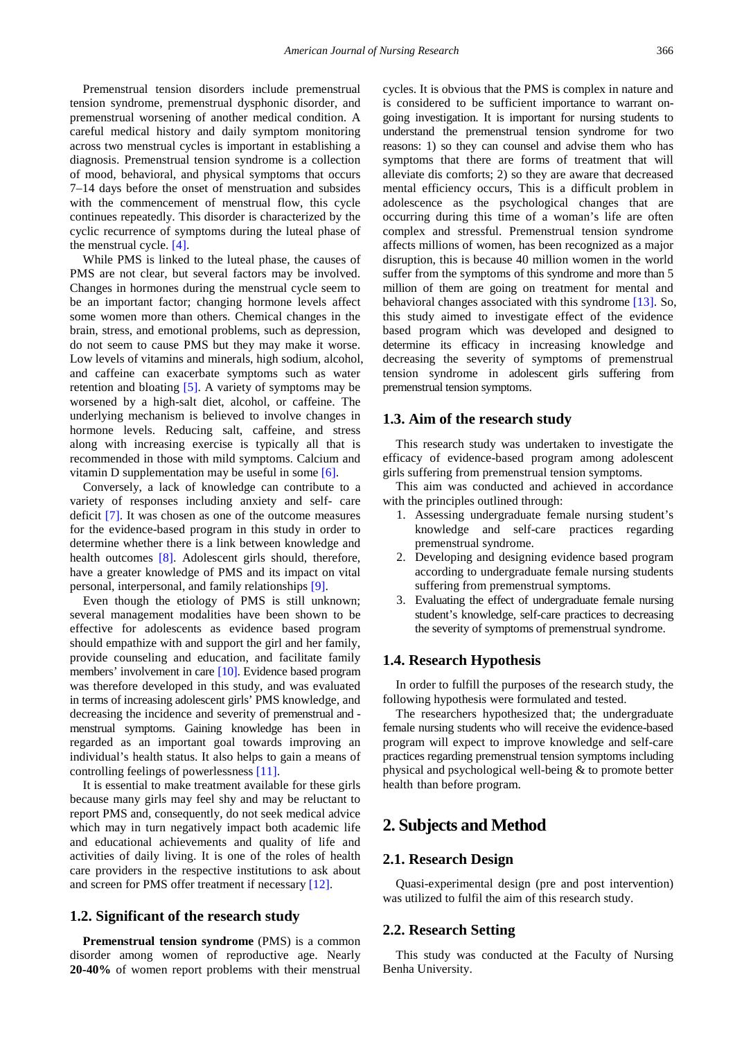Premenstrual tension disorders include premenstrual tension syndrome, premenstrual dysphonic disorder, and premenstrual worsening of another medical condition. A careful medical history and daily symptom monitoring across two menstrual cycles is important in establishing a diagnosis. Premenstrual tension syndrome is a collection of mood, behavioral, and physical symptoms that occurs 7–14 days before the onset of menstruation and subsides with the commencement of menstrual flow, this cycle continues repeatedly. This disorder is characterized by the cyclic recurrence of symptoms during the luteal phase of the menstrual cycle. [\[4\].](#page-9-3)

While PMS is linked to the luteal phase, the causes of PMS are not clear, but several factors may be involved. Changes in hormones during the menstrual cycle seem to be an important factor; changing hormone levels affect some women more than others. Chemical changes in the brain, stress, and emotional problems, such as depression, do not seem to cause PMS but they may make it worse. Low levels of vitamins and minerals, high sodium, alcohol, and caffeine can exacerbate symptoms such as water retention and bloating [\[5\].](#page-9-4) A variety of symptoms may be worsened by a high-salt diet, alcohol, or caffeine. The underlying mechanism is believed to involve changes in hormone levels. Reducing salt, caffeine, and stress along with increasing exercise is typically all that is recommended in those with mild symptoms. Calcium and vitamin D supplementation may be useful in some [\[6\].](#page-9-5)

Conversely, a lack of knowledge can contribute to a variety of responses including anxiety and self- care deficit [\[7\].](#page-9-6) It was chosen as one of the outcome measures for the evidence-based program in this study in order to determine whether there is a link between knowledge and health outcomes [\[8\].](#page-9-7) Adolescent girls should, therefore, have a greater knowledge of PMS and its impact on vital personal, interpersonal, and family relationships [\[9\].](#page-9-8)

Even though the etiology of PMS is still unknown; several management modalities have been shown to be effective for adolescents as evidence based program should empathize with and support the girl and her family, provide counseling and education, and facilitate family members' involvement in care [\[10\].](#page-9-9) Evidence based program was therefore developed in this study, and was evaluated in terms of increasing adolescent girls' PMS knowledge, and decreasing the incidence and severity of premenstrual and menstrual symptoms. Gaining knowledge has been in regarded as an important goal towards improving an individual's health status. It also helps to gain a means of controlling feelings of powerlessness [\[11\].](#page-9-10)

It is essential to make treatment available for these girls because many girls may feel shy and may be reluctant to report PMS and, consequently, do not seek medical advice which may in turn negatively impact both academic life and educational achievements and quality of life and activities of daily living. It is one of the roles of health care providers in the respective institutions to ask about and screen for PMS offer treatment if necessary [\[12\].](#page-9-11)

## **1.2. Significant of the research study**

**Premenstrual tension syndrome** (PMS) is a common disorder among women of reproductive age. Nearly **20-40%** of women report problems with their menstrual cycles. It is obvious that the PMS is complex in nature and is considered to be sufficient importance to warrant ongoing investigation. It is important for nursing students to understand the premenstrual tension syndrome for two reasons: 1) so they can counsel and advise them who has symptoms that there are forms of treatment that will alleviate dis comforts; 2) so they are aware that decreased mental efficiency occurs, This is a difficult problem in adolescence as the psychological changes that are occurring during this time of a woman's life are often complex and stressful. Premenstrual tension syndrome affects millions of women, has been recognized as a major disruption, this is because 40 million women in the world suffer from the symptoms of this syndrome and more than 5 million of them are going on treatment for mental and behavioral changes associated with this syndrome [\[13\].](#page-9-12) So, this study aimed to investigate effect of the evidence based program which was developed and designed to determine its efficacy in increasing knowledge and decreasing the severity of symptoms of premenstrual tension syndrome in adolescent girls suffering from premenstrual tension symptoms.

#### **1.3. Aim of the research study**

This research study was undertaken to investigate the efficacy of evidence-based program among adolescent girls suffering from premenstrual tension symptoms.

This aim was conducted and achieved in accordance with the principles outlined through:

- 1. Assessing undergraduate female nursing student's knowledge and self-care practices regarding premenstrual syndrome.
- 2. Developing and designing evidence based program according to undergraduate female nursing students suffering from premenstrual symptoms.
- 3. Evaluating the effect of undergraduate female nursing student's knowledge, self-care practices to decreasing the severity of symptoms of premenstrual syndrome.

### **1.4. Research Hypothesis**

In order to fulfill the purposes of the research study, the following hypothesis were formulated and tested.

The researchers hypothesized that; the undergraduate female nursing students who will receive the evidence-based program will expect to improve knowledge and self-care practices regarding premenstrual tension symptoms including physical and psychological well-being & to promote better health than before program.

## **2. Subjects and Method**

## **2.1. Research Design**

Quasi-experimental design (pre and post intervention) was utilized to fulfil the aim of this research study.

### **2.2. Research Setting**

This study was conducted at the Faculty of Nursing Benha University.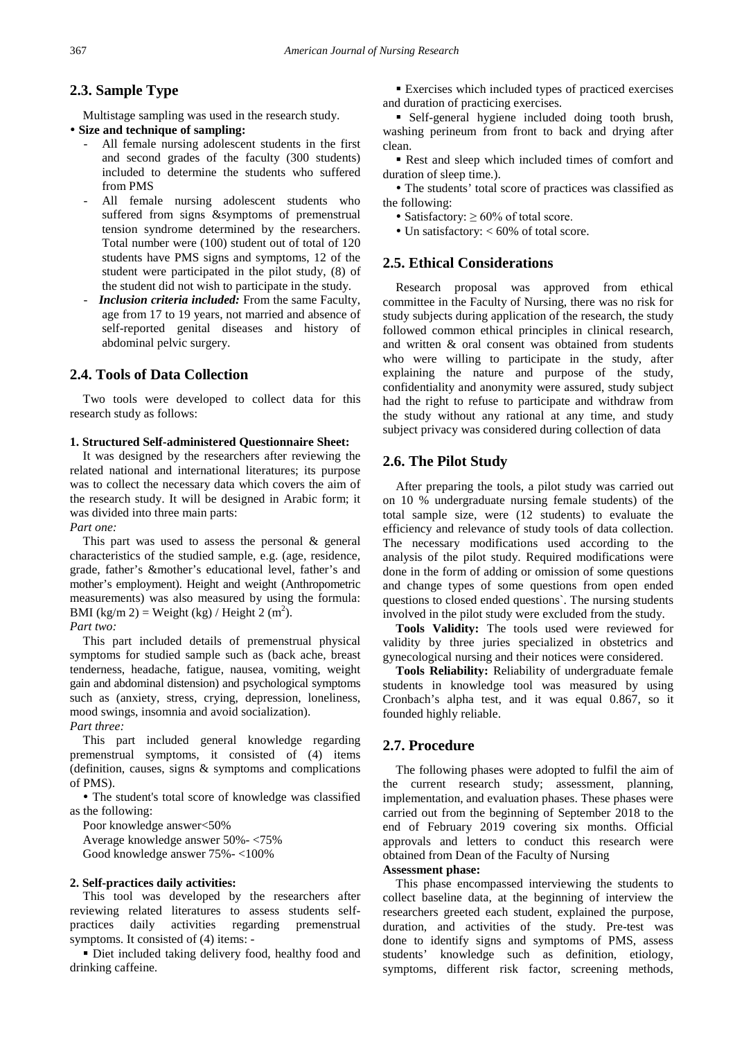## **2.3. Sample Type**

Multistage sampling was used in the research study.

## **Size and technique of sampling:**

- All female nursing adolescent students in the first and second grades of the faculty (300 students) included to determine the students who suffered from PMS
- All female nursing adolescent students who suffered from signs &symptoms of premenstrual tension syndrome determined by the researchers. Total number were (100) student out of total of 120 students have PMS signs and symptoms, 12 of the student were participated in the pilot study, (8) of the student did not wish to participate in the study.
- *Inclusion criteria included:* From the same Faculty, age from 17 to 19 years, not married and absence of self-reported genital diseases and history of abdominal pelvic surgery.

## **2.4. Tools of Data Collection**

Two tools were developed to collect data for this research study as follows:

#### **1. Structured Self-administered Questionnaire Sheet:**

It was designed by the researchers after reviewing the related national and international literatures; its purpose was to collect the necessary data which covers the aim of the research study. It will be designed in Arabic form; it was divided into three main parts:

*Part one:*

This part was used to assess the personal & general characteristics of the studied sample, e.g. (age, residence, grade, father's &mother's educational level, father's and mother's employment). Height and weight (Anthropometric measurements) was also measured by using the formula: BMI (kg/m 2) = Weight (kg) / Height 2 (m<sup>2</sup>).

*Part two:*

This part included details of premenstrual physical symptoms for studied sample such as (back ache, breast tenderness, headache, fatigue, nausea, vomiting, weight gain and abdominal distension) and psychological symptoms such as (anxiety, stress, crying, depression, loneliness, mood swings, insomnia and avoid socialization). *Part three:*

This part included general knowledge regarding premenstrual symptoms, it consisted of (4) items (definition, causes, signs & symptoms and complications of PMS).

 The student's total score of knowledge was classified as the following:

Poor knowledge answer<50% Average knowledge answer 50%- <75% Good knowledge answer 75%- <100%

### **2. Self-practices daily activities:**

This tool was developed by the researchers after reviewing related literatures to assess students selfpractices daily activities regarding premenstrual symptoms. It consisted of (4) items: -

 Diet included taking delivery food, healthy food and drinking caffeine.

 Exercises which included types of practiced exercises and duration of practicing exercises.

 Self-general hygiene included doing tooth brush, washing perineum from front to back and drying after clean.

Rest and sleep which included times of comfort and duration of sleep time.).

 The students' total score of practices was classified as the following:

• Satisfactory:  $\geq 60\%$  of total score.

Un satisfactory: < 60% of total score.

## **2.5. Ethical Considerations**

Research proposal was approved from ethical committee in the Faculty of Nursing, there was no risk for study subjects during application of the research, the study followed common ethical principles in clinical research, and written & oral consent was obtained from students who were willing to participate in the study, after explaining the nature and purpose of the study, confidentiality and anonymity were assured, study subject had the right to refuse to participate and withdraw from the study without any rational at any time, and study subject privacy was considered during collection of data

## **2.6. The Pilot Study**

After preparing the tools, a pilot study was carried out on 10 % undergraduate nursing female students) of the total sample size, were (12 students) to evaluate the efficiency and relevance of study tools of data collection. The necessary modifications used according to the analysis of the pilot study. Required modifications were done in the form of adding or omission of some questions and change types of some questions from open ended questions to closed ended questions`. The nursing students involved in the pilot study were excluded from the study.

**Tools Validity:** The tools used were reviewed for validity by three juries specialized in obstetrics and gynecological nursing and their notices were considered.

**Tools Reliability:** Reliability of undergraduate female students in knowledge tool was measured by using Cronbach's alpha test, and it was equal 0.867, so it founded highly reliable.

### **2.7. Procedure**

The following phases were adopted to fulfil the aim of the current research study; assessment, planning, implementation, and evaluation phases. These phases were carried out from the beginning of September 2018 to the end of February 2019 covering six months. Official approvals and letters to conduct this research were obtained from Dean of the Faculty of Nursing

## **Assessment phase:**

This phase encompassed interviewing the students to collect baseline data, at the beginning of interview the researchers greeted each student, explained the purpose, duration, and activities of the study. Pre-test was done to identify signs and symptoms of PMS, assess students' knowledge such as definition, etiology, symptoms, different risk factor, screening methods,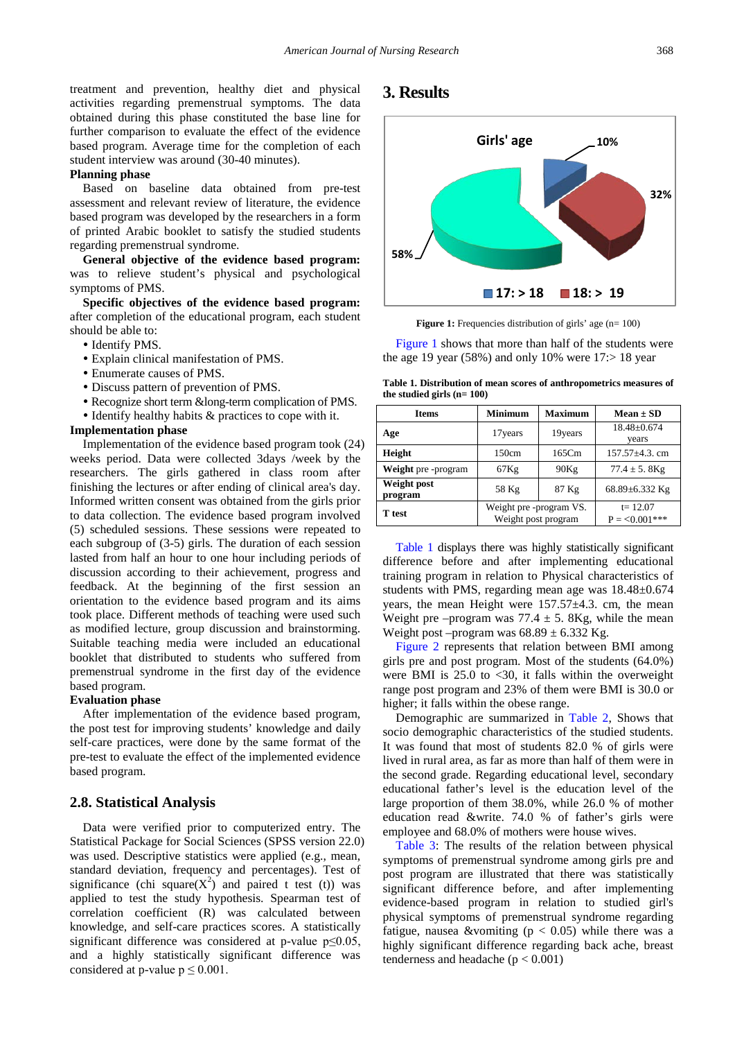treatment and prevention, healthy diet and physical activities regarding premenstrual symptoms. The data obtained during this phase constituted the base line for further comparison to evaluate the effect of the evidence based program. Average time for the completion of each student interview was around (30-40 minutes).

#### **Planning phase**

Based on baseline data obtained from pre-test assessment and relevant review of literature, the evidence based program was developed by the researchers in a form of printed Arabic booklet to satisfy the studied students regarding premenstrual syndrome.

**General objective of the evidence based program:** was to relieve student's physical and psychological symptoms of PMS.

**Specific objectives of the evidence based program:** after completion of the educational program, each student should be able to:

- Identify PMS.
- Explain clinical manifestation of PMS.
- Enumerate causes of PMS.
- Discuss pattern of prevention of PMS.
- Recognize short term &long-term complication of PMS.
- Identify healthy habits & practices to cope with it.

#### **Implementation phase**

Implementation of the evidence based program took (24) weeks period. Data were collected 3days /week by the researchers. The girls gathered in class room after finishing the lectures or after ending of clinical area's day. Informed written consent was obtained from the girls prior to data collection. The evidence based program involved (5) scheduled sessions. These sessions were repeated to each subgroup of (3-5) girls. The duration of each session lasted from half an hour to one hour including periods of discussion according to their achievement, progress and feedback. At the beginning of the first session an orientation to the evidence based program and its aims took place. Different methods of teaching were used such as modified lecture, group discussion and brainstorming. Suitable teaching media were included an educational booklet that distributed to students who suffered from premenstrual syndrome in the first day of the evidence based program.

#### **Evaluation phase**

After implementation of the evidence based program, the post test for improving students' knowledge and daily self-care practices, were done by the same format of the pre-test to evaluate the effect of the implemented evidence based program.

#### **2.8. Statistical Analysis**

Data were verified prior to computerized entry. The Statistical Package for Social Sciences (SPSS version 22.0) was used. Descriptive statistics were applied (e.g., mean, standard deviation, frequency and percentages). Test of significance (chi square( $X^2$ ) and paired t test (t)) was applied to test the study hypothesis. Spearman test of correlation coefficient (R) was calculated between knowledge, and self-care practices scores. A statistically significant difference was considered at p-value p≤0.05, and a highly statistically significant difference was considered at p-value  $p \leq 0.001$ .

## **3. Results**

<span id="page-3-0"></span>

**Figure 1:** Frequencies distribution of girls' age (n= 100)

[Figure 1](#page-3-0) shows that more than half of the students were the age 19 year (58%) and only 10% were  $17$ : > 18 year

**Table 1. Distribution of mean scores of anthropometrics measures of the studied girls (n= 100)**

<span id="page-3-1"></span>

| <b>Items</b>           | <b>Minimum</b>                                 | <b>Maximum</b> | $Mean \pm SD$                 |  |  |  |
|------------------------|------------------------------------------------|----------------|-------------------------------|--|--|--|
| Age                    | 17 years                                       | 19years        | 18.48±0.674<br>years          |  |  |  |
| Height                 | 150cm                                          | 165Cm          | $157.57 + 4.3$ . cm           |  |  |  |
| Weight pre-program     | 67Kg                                           | 90Kg           | $77.4 \pm 5.8$ Kg             |  |  |  |
| Weight post<br>program | 58 Kg                                          | 87 Kg          | 68.89±6.332 Kg                |  |  |  |
| T test                 | Weight pre -program VS.<br>Weight post program |                | $t = 12.07$<br>$P = 0.001***$ |  |  |  |

[Table 1](#page-3-1) displays there was highly statistically significant difference before and after implementing educational training program in relation to Physical characteristics of students with PMS, regarding mean age was 18.48±0.674 years, the mean Height were 157.57±4.3. cm, the mean Weight pre –program was  $77.4 \pm 5$ . 8Kg, while the mean Weight post –program was  $68.89 \pm 6.332$  Kg.

[Figure 2](#page-4-0) represents that relation between BMI among girls pre and post program. Most of the students (64.0%) were BMI is  $25.0$  to  $\leq 30$ , it falls within the overweight range post program and 23% of them were BMI is 30.0 or higher; it falls within the obese range.

Demographic are summarized in [Table 2,](#page-4-1) Shows that socio demographic characteristics of the studied students. It was found that most of students 82.0 % of girls were lived in rural area, as far as more than half of them were in the second grade. Regarding educational level, secondary educational father's level is the education level of the large proportion of them 38.0%, while 26.0 % of mother education read &write. 74.0 % of father's girls were employee and 68.0% of mothers were house wives.

[Table 3:](#page-5-0) The results of the relation between physical symptoms of premenstrual syndrome among girls pre and post program are illustrated that there was statistically significant difference before, and after implementing evidence-based program in relation to studied girl's physical symptoms of premenstrual syndrome regarding fatigue, nausea &vomiting ( $p < 0.05$ ) while there was a highly significant difference regarding back ache, breast tenderness and headache ( $p < 0.001$ )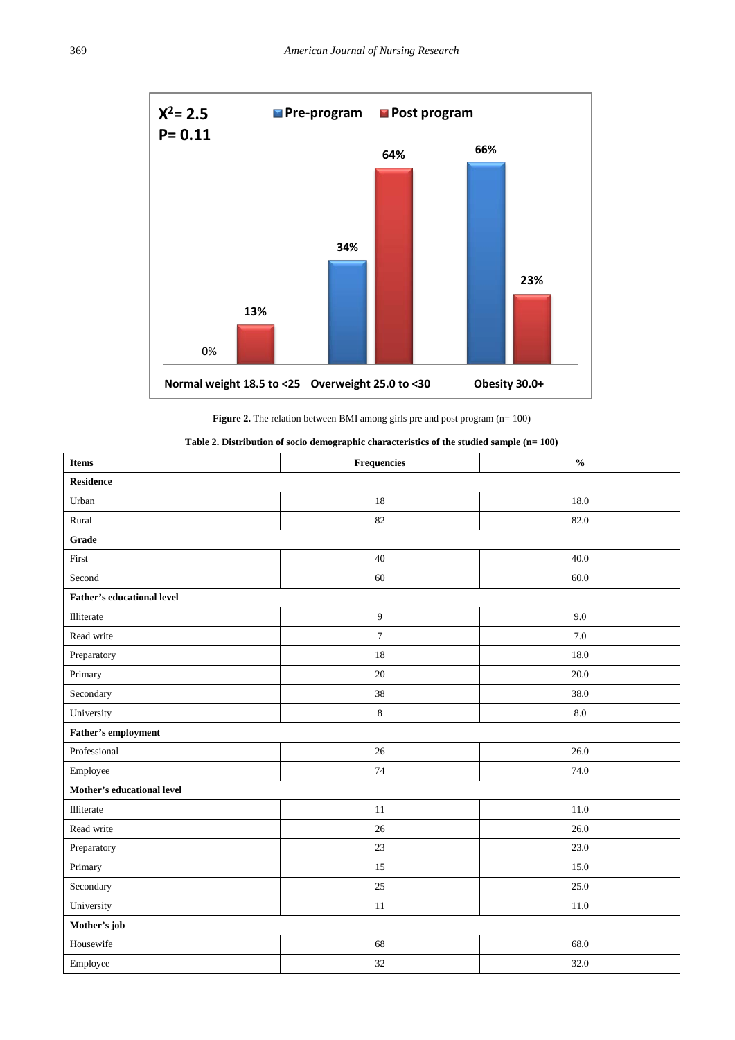<span id="page-4-0"></span>

**Figure 2.** The relation between BMI among girls pre and post program (n= 100)

|  | Table 2. Distribution of socio demographic characteristics of the studied sample (n= $100)$ |  |
|--|---------------------------------------------------------------------------------------------|--|
|--|---------------------------------------------------------------------------------------------|--|

<span id="page-4-1"></span>

| <b>Items</b>                      | Frequencies      | $\mathbf{0}_{\mathbf{0}}^{\prime}$ |
|-----------------------------------|------------------|------------------------------------|
| <b>Residence</b>                  |                  |                                    |
| Urban                             | 18               | 18.0                               |
| Rural                             | 82               | 82.0                               |
| Grade                             |                  |                                    |
| First                             | 40               | 40.0                               |
| Second                            | 60               | 60.0                               |
| <b>Father's educational level</b> |                  |                                    |
| Illiterate                        | $\boldsymbol{9}$ | 9.0                                |
| Read write                        | $\boldsymbol{7}$ | $7.0\,$                            |
| Preparatory                       | $18\,$           | 18.0                               |
| Primary                           | 20               | 20.0                               |
| Secondary                         | 38               | 38.0                               |
| University                        | $\,8\,$          | $\ \ 8.0$                          |
| <b>Father's employment</b>        |                  |                                    |
| Professional                      | 26               | 26.0                               |
| Employee                          | 74               | 74.0                               |
| Mother's educational level        |                  |                                    |
| Illiterate                        | $11\,$           | $11.0\,$                           |
| Read write                        | 26               | 26.0                               |
| Preparatory                       | 23               | 23.0                               |
| Primary                           | 15               | 15.0                               |
| Secondary                         | $25\,$           | 25.0                               |
| University                        | $11\,$           | 11.0                               |
| Mother's job                      |                  |                                    |
| Housewife                         | 68               | 68.0                               |
| Employee                          | 32               | 32.0                               |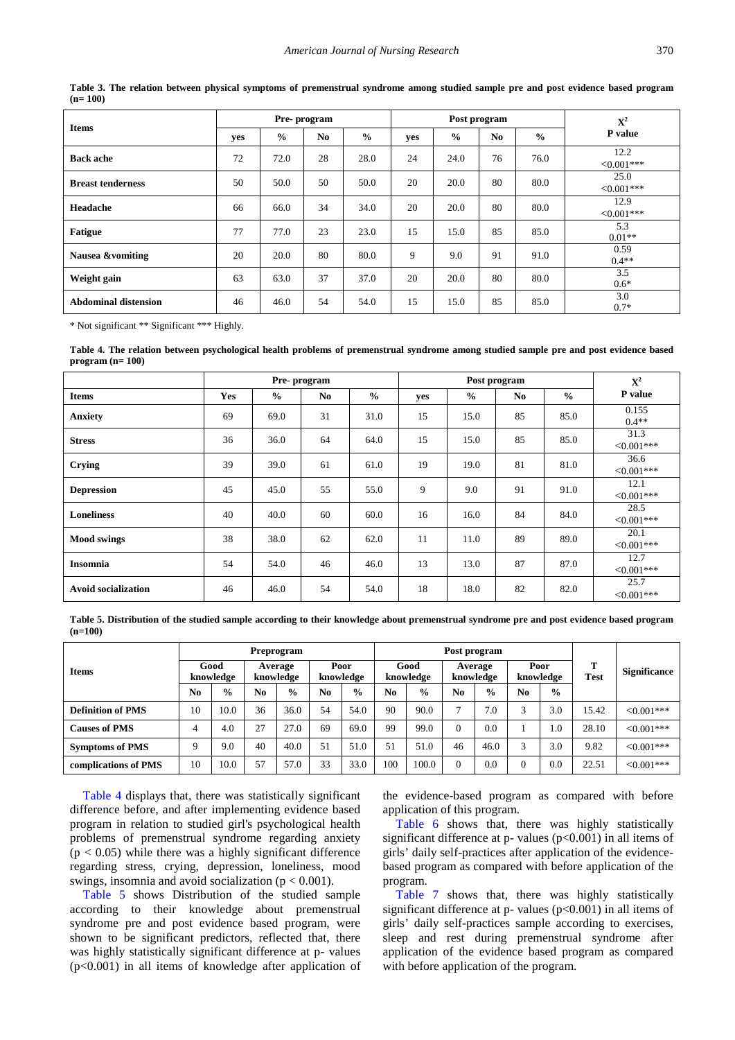<span id="page-5-0"></span>

| <b>Items</b>                |     | Pre-program   |                |               | Post program | ${\bf X}^2$   |    |               |                     |
|-----------------------------|-----|---------------|----------------|---------------|--------------|---------------|----|---------------|---------------------|
|                             | yes | $\frac{6}{9}$ | N <sub>0</sub> | $\frac{0}{0}$ | yes          | $\frac{6}{9}$ | No | $\frac{0}{0}$ | P value             |
| <b>Back ache</b>            | 72  | 72.0          | 28             | 28.0          | 24           | 24.0          | 76 | 76.0          | 12.2<br>$<0.001***$ |
| <b>Breast tenderness</b>    | 50  | 50.0          | 50             | 50.0          | 20           | 20.0          | 80 | 80.0          | 25.0<br>$<0.001***$ |
| Headache                    | 66  | 66.0          | 34             | 34.0          | 20           | 20.0          | 80 | 80.0          | 12.9<br>$<0.001***$ |
| <b>Fatigue</b>              | 77  | 77.0          | 23             | 23.0          | 15           | 15.0          | 85 | 85.0          | 5.3<br>$0.01**$     |
| <b>Nausea &amp;vomiting</b> | 20  | 20.0          | 80             | 80.0          | 9            | 9.0           | 91 | 91.0          | 0.59<br>$0.4**$     |
| Weight gain                 | 63  | 63.0          | 37             | 37.0          | 20           | 20.0          | 80 | 80.0          | 3.5<br>$0.6*$       |
| <b>Abdominal distension</b> | 46  | 46.0          | 54             | 54.0          | 15           | 15.0          | 85 | 85.0          | 3.0<br>$0.7*$       |

**Table 3. The relation between physical symptoms of premenstrual syndrome among studied sample pre and post evidence based program (n= 100)**

\* Not significant \*\* Significant \*\*\* Highly.

**Table 4. The relation between psychological health problems of premenstrual syndrome among studied sample pre and post evidence based program (n= 100)**

<span id="page-5-1"></span>

|                            |     | Pre-program   |                |               | Post program |               |                |               | ${\bf X}^2$           |
|----------------------------|-----|---------------|----------------|---------------|--------------|---------------|----------------|---------------|-----------------------|
| <b>Items</b>               | Yes | $\frac{6}{9}$ | N <sub>0</sub> | $\frac{0}{0}$ | yes          | $\frac{0}{0}$ | N <sub>0</sub> | $\frac{0}{0}$ | P value               |
| <b>Anxiety</b>             | 69  | 69.0          | 31             | 31.0          | 15           | 15.0          | 85             | 85.0          | 0.155<br>$0.4**$      |
| <b>Stress</b>              | 36  | 36.0          | 64             | 64.0          | 15           | 15.0          | 85             | 85.0          | 31.3<br>$< 0.001$ *** |
| Crying                     | 39  | 39.0          | 61             | 61.0          | 19           | 19.0          | 81             | 81.0          | 36.6<br>$<0.001***$   |
| <b>Depression</b>          | 45  | 45.0          | 55             | 55.0          | 9            | 9.0           | 91             | 91.0          | 12.1<br>$<0.001***$   |
| <b>Loneliness</b>          | 40  | 40.0          | 60             | 60.0          | 16           | 16.0          | 84             | 84.0          | 28.5<br>$< 0.001$ *** |
| <b>Mood swings</b>         | 38  | 38.0          | 62             | 62.0          | 11           | 11.0          | 89             | 89.0          | 20.1<br>$<0.001***$   |
| <b>Insomnia</b>            | 54  | 54.0          | 46             | 46.0          | 13           | 13.0          | 87             | 87.0          | 12.7<br>$< 0.001$ *** |
| <b>Avoid socialization</b> | 46  | 46.0          | 54             | 54.0          | 18           | 18.0          | 82             | 82.0          | 25.7<br>$<0.001***$   |

**Table 5. Distribution of the studied sample according to their knowledge about premenstrual syndrome pre and post evidence based program (n=100)**

<span id="page-5-2"></span>

|                          | Preprogram                                |               |                   |               |                   |               | Post program         |               |                   |               |                  |                     |       |             |
|--------------------------|-------------------------------------------|---------------|-------------------|---------------|-------------------|---------------|----------------------|---------------|-------------------|---------------|------------------|---------------------|-------|-------------|
| <b>Items</b>             | Good<br>Average<br>knowledge<br>knowledge |               | Poor<br>knowledge |               | Good<br>knowledge |               | Average<br>knowledge |               | Poor<br>knowledge |               | т<br><b>Test</b> | <b>Significance</b> |       |             |
|                          | No                                        | $\frac{6}{9}$ | No                | $\frac{6}{9}$ | No.               | $\frac{0}{0}$ | N <sub>0</sub>       | $\frac{0}{0}$ | N <sub>0</sub>    | $\frac{0}{0}$ | No               | $\frac{0}{0}$       |       |             |
| <b>Definition of PMS</b> | 10                                        | 10.0          | 36                | 36.0          | 54                | 54.0          | 90                   | 90.0          | $\overline{ }$    | 7.0           | $\sqrt{2}$       | 3.0                 | 15.42 | $<0.001***$ |
| <b>Causes of PMS</b>     |                                           | 4.0           | 27                | 27.0          | 69                | 69.0          | 99                   | 99.0          |                   | 0.0           |                  | 1.0                 | 28.10 | $<0.001***$ |
| <b>Symptoms of PMS</b>   |                                           | 9.0           | 40                | 40.0          | 51                | 51.0          | 51                   | 51.0          | 46                | 46.0          | $\mathbf{r}$     | 3.0                 | 9.82  | $<0.001***$ |
| complications of PMS     | 10                                        | 10.0          | 57                | 57.0          | 33                | 33.0          | 100                  | 100.0         | $\theta$          | 0.0           |                  | 0.0                 | 22.51 | $<0.001***$ |

[Table 4](#page-5-1) displays that, there was statistically significant difference before, and after implementing evidence based program in relation to studied girl's psychological health problems of premenstrual syndrome regarding anxiety  $(p < 0.05)$  while there was a highly significant difference regarding stress, crying, depression, loneliness, mood swings, insomnia and avoid socialization ( $p < 0.001$ ).

[Table 5](#page-5-2) shows Distribution of the studied sample according to their knowledge about premenstrual syndrome pre and post evidence based program, were shown to be significant predictors, reflected that, there was highly statistically significant difference at p- values (p<0.001) in all items of knowledge after application of the evidence-based program as compared with before application of this program.

[Table 6](#page-6-0) shows that, there was highly statistically significant difference at p- values  $(p<0.001)$  in all items of girls' daily self-practices after application of the evidencebased program as compared with before application of the program.

[Table 7](#page-6-1) shows that, there was highly statistically significant difference at p- values  $(p<0.001)$  in all items of girls' daily self-practices sample according to exercises, sleep and rest during premenstrual syndrome after application of the evidence based program as compared with before application of the program.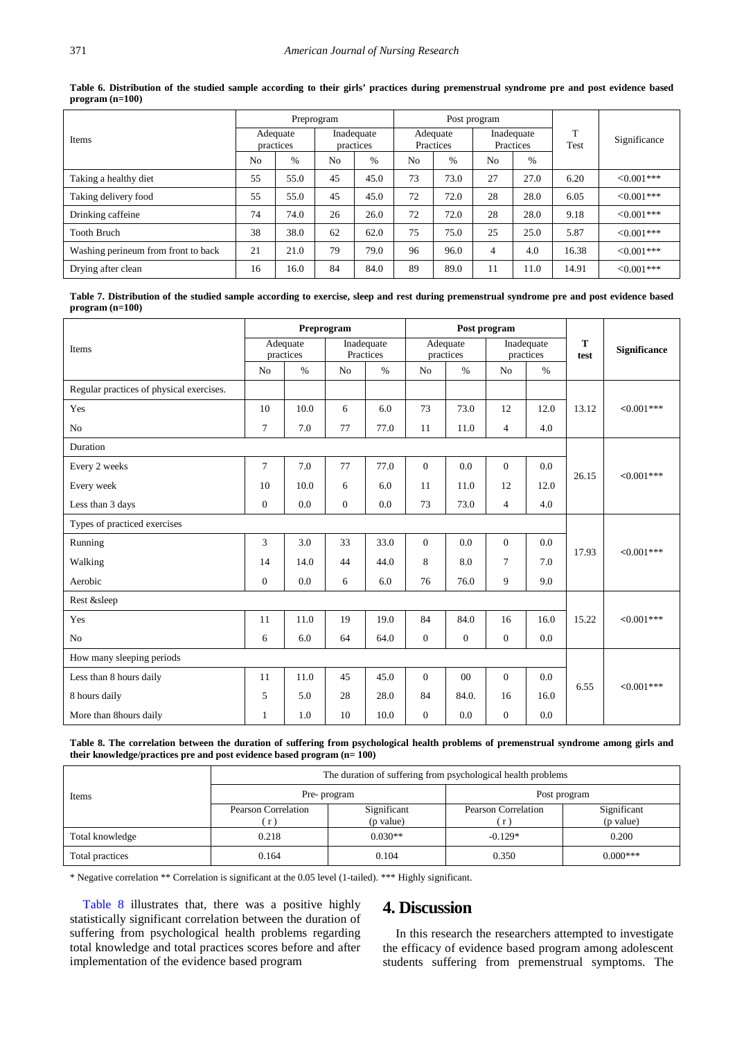<span id="page-6-0"></span>

|                                     |                       | Preprogram |                         |               |                       |      | Post program            |      |                      |               |
|-------------------------------------|-----------------------|------------|-------------------------|---------------|-----------------------|------|-------------------------|------|----------------------|---------------|
| Items                               | Adequate<br>practices |            | Inadequate<br>practices |               | Adequate<br>Practices |      | Inadequate<br>Practices |      | $\mathbf{T}$<br>Test | Significance  |
|                                     | N <sub>0</sub>        | $\%$       | No                      | $\frac{0}{0}$ | N <sub>0</sub>        | $\%$ | N <sub>0</sub>          | $\%$ |                      |               |
| Taking a healthy diet               | 55                    | 55.0       | 45                      | 45.0          | 73                    | 73.0 | 27                      | 27.0 | 6.20                 | $<0.001***$   |
| Taking delivery food                | 55                    | 55.0       | 45                      | 45.0          | 72                    | 72.0 | 28                      | 28.0 | 6.05                 | $<0.001***$   |
| Drinking caffeine                   | 74                    | 74.0       | 26                      | 26.0          | 72                    | 72.0 | 28                      | 28.0 | 9.18                 | $<0.001***$   |
| <b>Tooth Bruch</b>                  | 38                    | 38.0       | 62                      | 62.0          | 75                    | 75.0 | 25                      | 25.0 | 5.87                 | $<0.001***$   |
| Washing perineum from front to back | 21                    | 21.0       | 79                      | 79.0          | 96                    | 96.0 | 4                       | 4.0  | 16.38                | $< 0.001$ *** |
| Drying after clean                  | 16                    | 16.0       | 84                      | 84.0          | 89                    | 89.0 | 11                      | 11.0 | 14.91                | $<0.001***$   |

**Table 6. Distribution of the studied sample according to their girls' practices during premenstrual syndrome pre and post evidence based program (n=100)**

**Table 7. Distribution of the studied sample according to exercise, sleep and rest during premenstrual syndrome pre and post evidence based program (n=100)**

<span id="page-6-1"></span>

|                                          | Preprogram       |                       |              |                         |                |                       | Post program   |                         |           |                     |
|------------------------------------------|------------------|-----------------------|--------------|-------------------------|----------------|-----------------------|----------------|-------------------------|-----------|---------------------|
| Items                                    |                  | Adequate<br>practices |              | Inadequate<br>Practices |                | Adequate<br>practices |                | Inadequate<br>practices | T<br>test | <b>Significance</b> |
|                                          | N <sub>o</sub>   | $\frac{0}{0}$         | No           | $\%$                    | No             | $\%$                  | No             | $\%$                    |           |                     |
| Regular practices of physical exercises. |                  |                       |              |                         |                |                       |                |                         |           |                     |
| Yes                                      | 10               | 10.0                  | 6            | 6.0                     | 73             | 73.0                  | 12             | 12.0                    | 13.12     | $< 0.001$ ***       |
| N <sub>o</sub>                           | $\overline{7}$   | 7.0                   | 77           | 77.0                    | 11             | 11.0                  | $\overline{4}$ | 4.0                     |           |                     |
| Duration                                 |                  |                       |              |                         |                |                       |                |                         |           |                     |
| Every 2 weeks                            | $\overline{7}$   | 7.0                   | 77           | 77.0                    | $\Omega$       | 0.0                   | $\theta$       | 0.0                     | 26.15     | $< 0.001$ ***       |
| Every week                               | 10               | 10.0                  | 6            | 6.0                     | 11             | 11.0                  | 12             | 12.0                    |           |                     |
| Less than 3 days                         | $\boldsymbol{0}$ | 0.0                   | $\mathbf{0}$ | 0.0                     | 73             | 73.0                  | $\overline{4}$ | 4.0                     |           |                     |
| Types of practiced exercises             |                  |                       |              |                         |                |                       |                |                         |           |                     |
| Running                                  | 3                | 3.0                   | 33           | 33.0                    | $\Omega$       | 0.0                   | $\theta$       | 0.0                     | 17.93     | $<0.001***$         |
| Walking                                  | 14               | 14.0                  | 44           | 44.0                    | 8              | 8.0                   | $\overline{7}$ | 7.0                     |           |                     |
| Aerobic                                  | $\mathbf{0}$     | 0.0                   | 6            | 6.0                     | 76             | 76.0                  | 9              | 9.0                     |           |                     |
| Rest &sleep                              |                  |                       |              |                         |                |                       |                |                         |           |                     |
| Yes                                      | 11               | 11.0                  | 19           | 19.0                    | 84             | 84.0                  | 16             | 16.0                    | 15.22     | $<0.001***$         |
| No                                       | 6                | 6.0                   | 64           | 64.0                    | $\overline{0}$ | $\overline{0}$        | $\overline{0}$ | 0.0                     |           |                     |
| How many sleeping periods                |                  |                       |              |                         |                |                       |                |                         |           |                     |
| Less than 8 hours daily                  | 11               | 11.0                  | 45           | 45.0                    | $\Omega$       | 00                    | $\overline{0}$ | 0.0                     | 6.55      | $<0.001***$         |
| 8 hours daily                            | 5                | 5.0                   | 28           | 28.0                    | 84             | 84.0.                 | 16             | 16.0                    |           |                     |
| More than 8hours daily                   | $\mathbf{1}$     | 1.0                   | 10           | 10.0                    | $\overline{0}$ | 0.0                   | $\overline{0}$ | 0.0                     |           |                     |

**Table 8. The correlation between the duration of suffering from psychological health problems of premenstrual syndrome among girls and their knowledge/practices pre and post evidence based program (n= 100)**

<span id="page-6-2"></span>

| Items           | The duration of suffering from psychological health problems |                          |                     |                          |  |  |  |  |  |  |  |
|-----------------|--------------------------------------------------------------|--------------------------|---------------------|--------------------------|--|--|--|--|--|--|--|
|                 |                                                              | Pre- program             | Post program        |                          |  |  |  |  |  |  |  |
|                 | Pearson Correlation<br>r                                     | Significant<br>(p value) | Pearson Correlation | Significant<br>(p value) |  |  |  |  |  |  |  |
| Total knowledge | 0.218                                                        | $0.030**$                | $-0.129*$           | 0.200                    |  |  |  |  |  |  |  |
| Total practices | 0.164                                                        | 0.104                    | 0.350               | $0.000***$               |  |  |  |  |  |  |  |

\* Negative correlation \*\* Correlation is significant at the 0.05 level (1-tailed). \*\*\* Highly significant.

[Table 8](#page-6-2) illustrates that, there was a positive highly statistically significant correlation between the duration of suffering from psychological health problems regarding total knowledge and total practices scores before and after implementation of the evidence based program

## **4. Discussion**

In this research the researchers attempted to investigate the efficacy of evidence based program among adolescent students suffering from premenstrual symptoms. The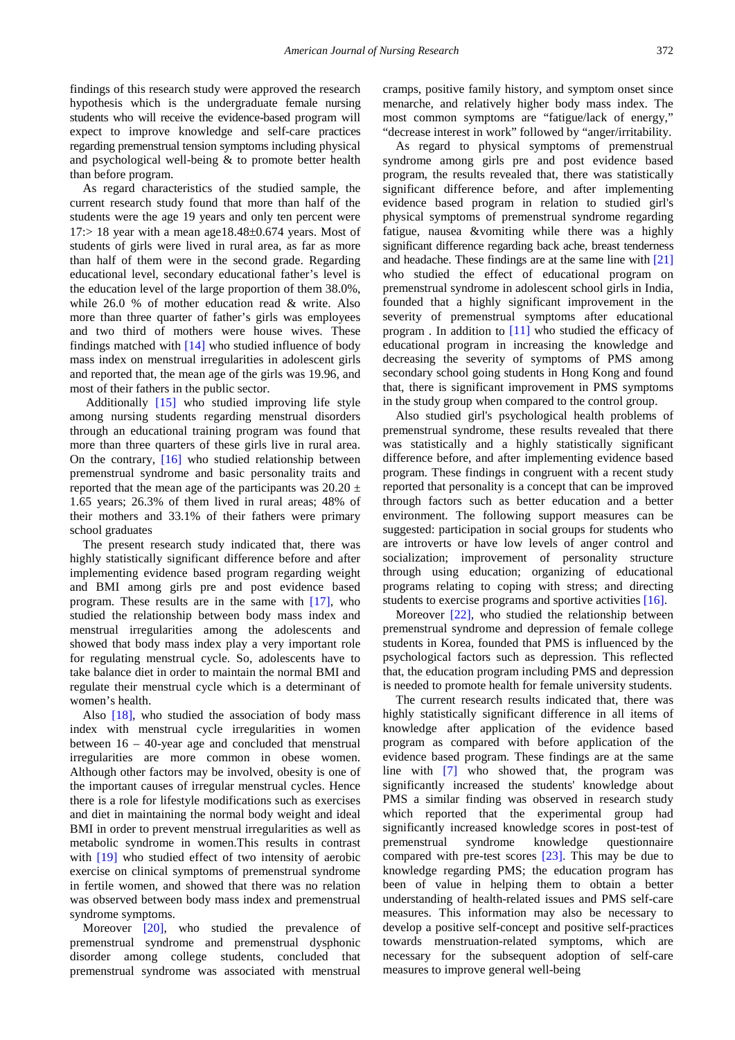findings of this research study were approved the research hypothesis which is the undergraduate female nursing students who will receive the evidence-based program will expect to improve knowledge and self-care practices regarding premenstrual tension symptoms including physical and psychological well-being & to promote better health than before program.

As regard characteristics of the studied sample, the current research study found that more than half of the students were the age 19 years and only ten percent were  $17$ :  $> 18$  year with a mean age  $18.48 \pm 0.674$  years. Most of students of girls were lived in rural area, as far as more than half of them were in the second grade. Regarding educational level, secondary educational father's level is the education level of the large proportion of them 38.0%, while 26.0 % of mother education read & write. Also more than three quarter of father's girls was employees and two third of mothers were house wives. These findings matched with [\[14\]](#page-9-13) who studied influence of body mass index on menstrual irregularities in adolescent girls and reported that, the mean age of the girls was 19.96, and most of their fathers in the public sector.

Additionally [\[15\]](#page-9-14) who studied improving life style among nursing students regarding menstrual disorders through an educational training program was found that more than three quarters of these girls live in rural area. On the contrary, [\[16\]](#page-9-15) who studied relationship between premenstrual syndrome and basic personality traits and reported that the mean age of the participants was  $20.20 \pm$ 1.65 years; 26.3% of them lived in rural areas; 48% of their mothers and 33.1% of their fathers were primary school graduates

The present research study indicated that, there was highly statistically significant difference before and after implementing evidence based program regarding weight and BMI among girls pre and post evidence based program. These results are in the same with [\[17\],](#page-9-16) who studied the relationship between body mass index and menstrual irregularities among the adolescents and showed that body mass index play a very important role for regulating menstrual cycle. So, adolescents have to take balance diet in order to maintain the normal BMI and regulate their menstrual cycle which is a determinant of women's health.

Also  $[18]$ , who studied the association of body mass index with menstrual cycle irregularities in women between 16 – 40-year age and concluded that menstrual irregularities are more common in obese women. Although other factors may be involved, obesity is one of the important causes of irregular menstrual cycles. Hence there is a role for lifestyle modifications such as exercises and diet in maintaining the normal body weight and ideal BMI in order to prevent menstrual irregularities as well as metabolic syndrome in women.This results in contrast with [\[19\]](#page-9-18) who studied effect of two intensity of aerobic exercise on clinical symptoms of premenstrual syndrome in fertile women, and showed that there was no relation was observed between body mass index and premenstrual syndrome symptoms.

Moreover [\[20\],](#page-9-19) who studied the prevalence of premenstrual syndrome and premenstrual dysphonic disorder among college students, concluded that premenstrual syndrome was associated with menstrual

cramps, positive family history, and symptom onset since menarche, and relatively higher body mass index. The most common symptoms are "fatigue/lack of energy," "decrease interest in work" followed by "anger/irritability.

As regard to physical symptoms of premenstrual syndrome among girls pre and post evidence based program, the results revealed that, there was statistically significant difference before, and after implementing evidence based program in relation to studied girl's physical symptoms of premenstrual syndrome regarding fatigue, nausea &vomiting while there was a highly significant difference regarding back ache, breast tenderness and headache. These findings are at the same line with [\[21\]](#page-9-20) who studied the effect of educational program on premenstrual syndrome in adolescent school girls in India, founded that a highly significant improvement in the severity of premenstrual symptoms after educational program . In addition to [\[11\]](#page-9-10) who studied the efficacy of educational program in increasing the knowledge and decreasing the severity of symptoms of PMS among secondary school going students in Hong Kong and found that, there is significant improvement in PMS symptoms in the study group when compared to the control group.

Also studied girl's psychological health problems of premenstrual syndrome, these results revealed that there was statistically and a highly statistically significant difference before, and after implementing evidence based program. These findings in congruent with a recent study reported that personality is a concept that can be improved through factors such as better education and a better environment. The following support measures can be suggested: participation in social groups for students who are introverts or have low levels of anger control and socialization; improvement of personality structure through using education; organizing of educational programs relating to coping with stress; and directing students to exercise programs and sportive activities [\[16\].](#page-9-15)

Moreover [\[22\],](#page-9-21) who studied the relationship between premenstrual syndrome and depression of female college students in Korea, founded that PMS is influenced by the psychological factors such as depression. This reflected that, the education program including PMS and depression is needed to promote health for female university students.

The current research results indicated that, there was highly statistically significant difference in all items of knowledge after application of the evidence based program as compared with before application of the evidence based program. These findings are at the same line with [\[7\]](#page-9-6) who showed that, the program was significantly increased the students' knowledge about PMS a similar finding was observed in research study which reported that the experimental group had significantly increased knowledge scores in post-test of premenstrual syndrome knowledge questionnaire compared with pre-test scores [\[23\].](#page-9-22) This may be due to knowledge regarding PMS; the education program has been of value in helping them to obtain a better understanding of health-related issues and PMS self-care measures. This information may also be necessary to develop a positive self-concept and positive self-practices towards menstruation-related symptoms, which are necessary for the subsequent adoption of self-care measures to improve general well-being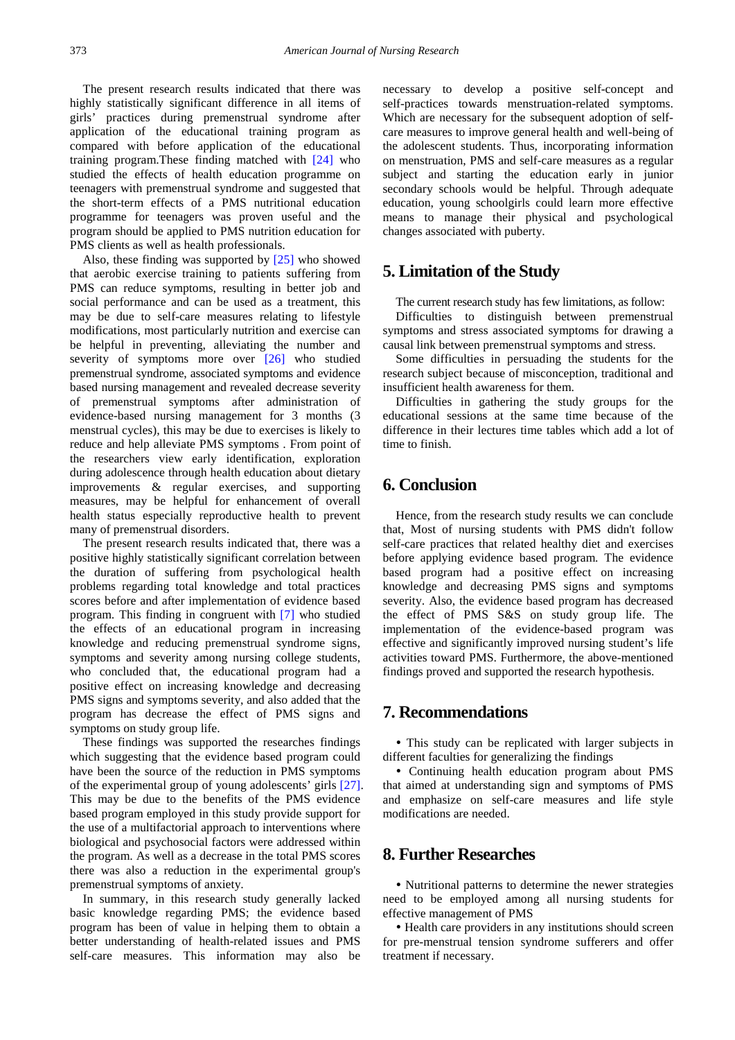The present research results indicated that there was highly statistically significant difference in all items of girls' practices during premenstrual syndrome after application of the educational training program as compared with before application of the educational training program.These finding matched with [\[24\]](#page-9-23) who studied the effects of health education programme on teenagers with premenstrual syndrome and suggested that the short-term effects of a PMS nutritional education programme for teenagers was proven useful and the program should be applied to PMS nutrition education for PMS clients as well as health professionals.

Also, these finding was supported by [\[25\]](#page-9-24) who showed that aerobic exercise training to patients suffering from PMS can reduce symptoms, resulting in better job and social performance and can be used as a treatment, this may be due to self-care measures relating to lifestyle modifications, most particularly nutrition and exercise can be helpful in preventing, alleviating the number and severity of symptoms more over [\[26\]](#page-9-25) who studied premenstrual syndrome, associated symptoms and evidence based nursing management and revealed decrease severity of premenstrual symptoms after administration of evidence-based nursing management for 3 months (3 menstrual cycles), this may be due to exercises is likely to reduce and help alleviate PMS symptoms . From point of the researchers view early identification, exploration during adolescence through health education about dietary improvements & regular exercises, and supporting measures, may be helpful for enhancement of overall health status especially reproductive health to prevent many of premenstrual disorders.

The present research results indicated that, there was a positive highly statistically significant correlation between the duration of suffering from psychological health problems regarding total knowledge and total practices scores before and after implementation of evidence based program. This finding in congruent with [\[7\]](#page-9-6) who studied the effects of an educational program in increasing knowledge and reducing premenstrual syndrome signs, symptoms and severity among nursing college students, who concluded that, the educational program had a positive effect on increasing knowledge and decreasing PMS signs and symptoms severity, and also added that the program has decrease the effect of PMS signs and symptoms on study group life.

These findings was supported the researches findings which suggesting that the evidence based program could have been the source of the reduction in PMS symptoms of the experimental group of young adolescents' girls [\[27\].](#page-9-26) This may be due to the benefits of the PMS evidence based program employed in this study provide support for the use of a multifactorial approach to interventions where biological and psychosocial factors were addressed within the program. As well as a decrease in the total PMS scores there was also a reduction in the experimental group's premenstrual symptoms of anxiety.

In summary, in this research study generally lacked basic knowledge regarding PMS; the evidence based program has been of value in helping them to obtain a better understanding of health-related issues and PMS self-care measures. This information may also be

necessary to develop a positive self-concept and self-practices towards menstruation-related symptoms. Which are necessary for the subsequent adoption of selfcare measures to improve general health and well-being of the adolescent students. Thus, incorporating information on menstruation, PMS and self-care measures as a regular subject and starting the education early in junior secondary schools would be helpful. Through adequate education, young schoolgirls could learn more effective means to manage their physical and psychological changes associated with puberty.

# **5. Limitation of the Study**

The current research study has few limitations, as follow: Difficulties to distinguish between premenstrual symptoms and stress associated symptoms for drawing a causal link between premenstrual symptoms and stress.

Some difficulties in persuading the students for the research subject because of misconception, traditional and insufficient health awareness for them.

Difficulties in gathering the study groups for the educational sessions at the same time because of the difference in their lectures time tables which add a lot of time to finish.

# **6. Conclusion**

Hence, from the research study results we can conclude that, Most of nursing students with PMS didn't follow self-care practices that related healthy diet and exercises before applying evidence based program. The evidence based program had a positive effect on increasing knowledge and decreasing PMS signs and symptoms severity. Also, the evidence based program has decreased the effect of PMS S&S on study group life. The implementation of the evidence-based program was effective and significantly improved nursing student's life activities toward PMS. Furthermore, the above-mentioned findings proved and supported the research hypothesis.

# **7. Recommendations**

 This study can be replicated with larger subjects in different faculties for generalizing the findings

 Continuing health education program about PMS that aimed at understanding sign and symptoms of PMS and emphasize on self-care measures and life style modifications are needed.

# **8. Further Researches**

 Nutritional patterns to determine the newer strategies need to be employed among all nursing students for effective management of PMS

 Health care providers in any institutions should screen for pre-menstrual tension syndrome sufferers and offer treatment if necessary.